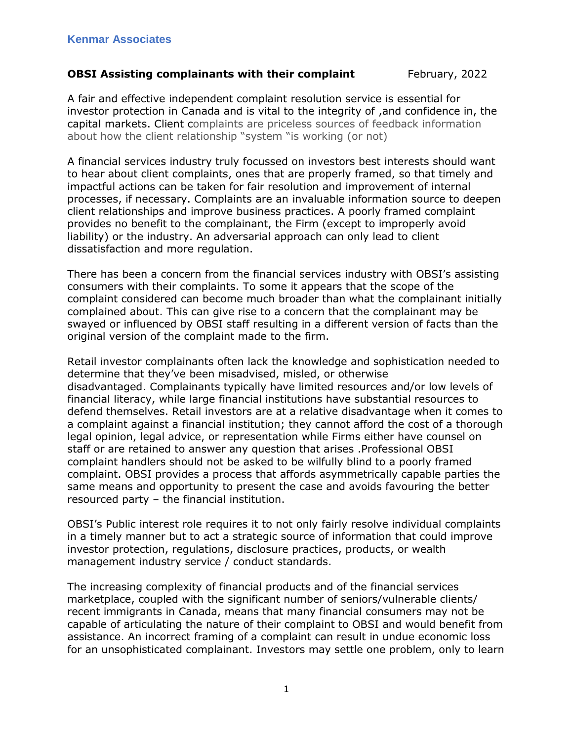## **OBSI Assisting complainants with their complaint** February, 2022

A fair and effective independent complaint resolution service is essential for investor protection in Canada and is vital to the integrity of ,and confidence in, the capital markets. Client complaints are priceless sources of feedback information about how the client relationship "system "is working (or not)

A financial services industry truly focussed on investors best interests should want to hear about client complaints, ones that are properly framed, so that timely and impactful actions can be taken for fair resolution and improvement of internal processes, if necessary. Complaints are an invaluable information source to deepen client relationships and improve business practices. A poorly framed complaint provides no benefit to the complainant, the Firm (except to improperly avoid liability) or the industry. An adversarial approach can only lead to client dissatisfaction and more regulation.

There has been a concern from the financial services industry with OBSI's assisting consumers with their complaints. To some it appears that the scope of the complaint considered can become much broader than what the complainant initially complained about. This can give rise to a concern that the complainant may be swayed or influenced by OBSI staff resulting in a different version of facts than the original version of the complaint made to the firm.

Retail investor complainants often lack the knowledge and sophistication needed to determine that they've been misadvised, misled, or otherwise disadvantaged. Complainants typically have limited resources and/or low levels of financial literacy, while large financial institutions have substantial resources to defend themselves. Retail investors are at a relative disadvantage when it comes to a complaint against a financial institution; they cannot afford the cost of a thorough legal opinion, legal advice, or representation while Firms either have counsel on staff or are retained to answer any question that arises .Professional OBSI complaint handlers should not be asked to be wilfully blind to a poorly framed complaint. OBSI provides a process that affords asymmetrically capable parties the same means and opportunity to present the case and avoids favouring the better resourced party – the financial institution.

OBSI's Public interest role requires it to not only fairly resolve individual complaints in a timely manner but to act a strategic source of information that could improve investor protection, regulations, disclosure practices, products, or wealth management industry service / conduct standards.

The increasing complexity of financial products and of the financial services marketplace, coupled with the significant number of seniors/vulnerable clients/ recent immigrants in Canada, means that many financial consumers may not be capable of articulating the nature of their complaint to OBSI and would benefit from assistance. An incorrect framing of a complaint can result in undue economic loss for an unsophisticated complainant. Investors may settle one problem, only to learn